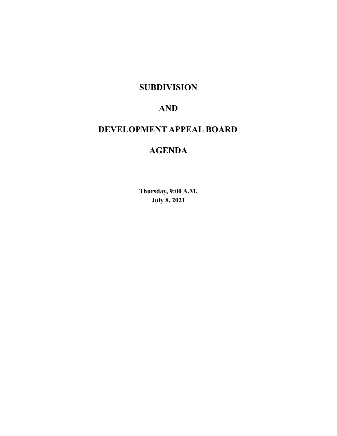# **SUBDIVISION**

# **AND**

# **DEVELOPMENT APPEAL BOARD**

# **AGENDA**

**Thursday, 9:00 A.M. July 8, 2021**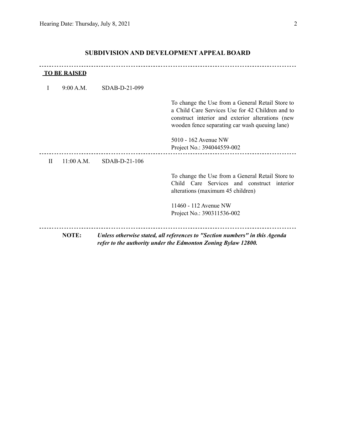|   | <b>TO BE RAISED</b> |                 |                                                                                                                                                                                                            |
|---|---------------------|-----------------|------------------------------------------------------------------------------------------------------------------------------------------------------------------------------------------------------------|
| I | 9:00 A.M.           | $SDAB-D-21-099$ |                                                                                                                                                                                                            |
|   |                     |                 | To change the Use from a General Retail Store to<br>a Child Care Services Use for 42 Children and to<br>construct interior and exterior alterations (new<br>wooden fence separating car wash queuing lane) |
|   |                     |                 | 5010 - 162 Avenue NW<br>Project No.: 394044559-002                                                                                                                                                         |
| H | 11:00 A.M.          | SDAB-D-21-106   |                                                                                                                                                                                                            |
|   |                     |                 | To change the Use from a General Retail Store to<br>Child Care Services and construct interior<br>alterations (maximum 45 children)                                                                        |
|   |                     |                 | 11460 - 112 Avenue NW<br>Project No.: 390311536-002                                                                                                                                                        |
|   | NOTE:               |                 | Unless otherwise stated, all references to "Section numbers" in this Agenda<br>refer to the authority under the Edmonton Zoning Bylaw 12800.                                                               |

## **SUBDIVISION AND DEVELOPMENT APPEAL BOARD**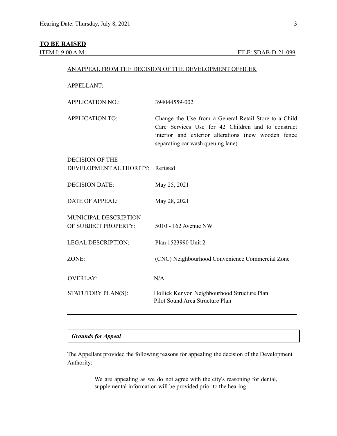#### **TO BE RAISED**

#### AN APPEAL FROM THE DECISION OF THE DEVELOPMENT OFFICER

#### APPELLANT:

| APPLICATION NO.: | 394044559-002 |
|------------------|---------------|
|------------------|---------------|

APPLICATION TO: Change the Use from a General Retail Store to a Child Care Services Use for 42 Children and to construct interior and exterior alterations (new wooden fence separating car wash queuing lane)

### DECISION OF THE DEVELOPMENT AUTHORITY: Refused

DECISION DATE: May 25, 2021 DATE OF APPEAL: May 28, 2021 MUNICIPAL DESCRIPTION OF SUBJECT PROPERTY: 5010 - 162 Avenue NW LEGAL DESCRIPTION: Plan 1523990 Unit 2 ZONE: (CNC) Neighbourhood Convenience Commercial Zone OVERLAY: N/A STATUTORY PLAN(S): Hollick Kenyon Neighbourhood Structure Plan Pilot Sound Area Structure Plan

#### *Grounds for Appeal*

The Appellant provided the following reasons for appealing the decision of the Development Authority:

> We are appealing as we do not agree with the city's reasoning for denial, supplemental information will be provided prior to the hearing.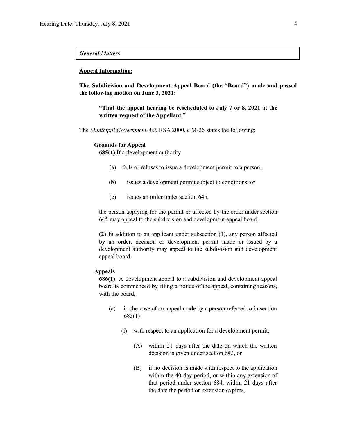#### *General Matters*

#### **Appeal Information:**

**The Subdivision and Development Appeal Board (the "Board") made and passed the following motion on June 3, 2021:**

**"That the appeal hearing be rescheduled to July 7 or 8, 2021 at the written request of the Appellant."**

The *Municipal Government Act*, RSA 2000, c M-26 states the following:

#### **Grounds for Appeal**

**685(1)** If a development authority

- (a) fails or refuses to issue a development permit to a person,
- (b) issues a development permit subject to conditions, or
- (c) issues an order under section 645,

the person applying for the permit or affected by the order under section 645 may appeal to the subdivision and development appeal board.

**(2)** In addition to an applicant under subsection (1), any person affected by an order, decision or development permit made or issued by a development authority may appeal to the subdivision and development appeal board.

#### **Appeals**

**686(1)** A development appeal to a subdivision and development appeal board is commenced by filing a notice of the appeal, containing reasons, with the board,

- (a) in the case of an appeal made by a person referred to in section 685(1)
	- (i) with respect to an application for a development permit,
		- (A) within 21 days after the date on which the written decision is given under section 642, or
		- (B) if no decision is made with respect to the application within the 40-day period, or within any extension of that period under section 684, within 21 days after the date the period or extension expires,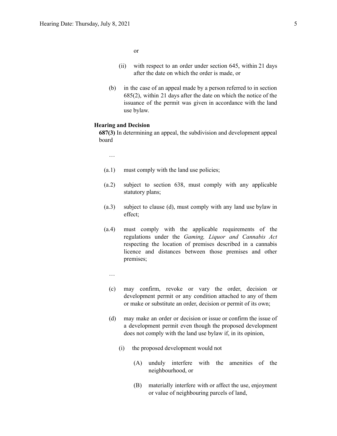or

- (ii) with respect to an order under section 645, within 21 days after the date on which the order is made, or
- (b) in the case of an appeal made by a person referred to in section 685(2), within 21 days after the date on which the notice of the issuance of the permit was given in accordance with the land use bylaw.

#### **Hearing and Decision**

**687(3)** In determining an appeal, the subdivision and development appeal board

…

- (a.1) must comply with the land use policies;
- (a.2) subject to section 638, must comply with any applicable statutory plans;
- (a.3) subject to clause (d), must comply with any land use bylaw in effect;
- (a.4) must comply with the applicable requirements of the regulations under the *Gaming, Liquor and Cannabis Act* respecting the location of premises described in a cannabis licence and distances between those premises and other premises;
	- …
	- (c) may confirm, revoke or vary the order, decision or development permit or any condition attached to any of them or make or substitute an order, decision or permit of its own;
	- (d) may make an order or decision or issue or confirm the issue of a development permit even though the proposed development does not comply with the land use bylaw if, in its opinion,
		- (i) the proposed development would not
			- (A) unduly interfere with the amenities of the neighbourhood, or
			- (B) materially interfere with or affect the use, enjoyment or value of neighbouring parcels of land,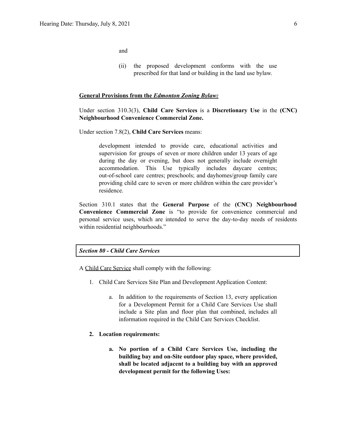and

(ii) the proposed development conforms with the use prescribed for that land or building in the land use bylaw.

#### **General Provisions from the** *Edmonton Zoning Bylaw:*

Under section 310.3(3), **Child Care Services** is a **Discretionary Use** in the **(CNC) Neighbourhood Convenience Commercial Zone.**

Under section 7.8(2), **Child Care Services** means:

development intended to provide care, educational activities and supervision for groups of seven or more children under 13 years of age during the day or evening, but does not generally include overnight accommodation. This Use typically includes daycare centres; out-of-school care centres; preschools; and dayhomes/group family care providing child care to seven or more children within the care provider's residence.

Section 310.1 states that the **General Purpose** of the **(CNC) Neighbourhood Convenience Commercial Zone** is "to provide for convenience commercial and personal service uses, which are intended to serve the day-to-day needs of residents within residential neighbourhoods."

#### *Section 80 - Child Care Services*

A Child Care Service shall comply with the following:

- 1. Child Care Services Site Plan and Development Application Content:
	- a. In addition to the requirements of Section 13, every application for a Development Permit for a Child Care Services Use shall include a Site plan and floor plan that combined, includes all information required in the Child Care Services Checklist.

#### **2. Location requirements:**

**a. No portion of a Child Care Services Use, including the building bay and on-Site outdoor play space, where provided, shall be located adjacent to a building bay with an approved development permit for the following Uses:**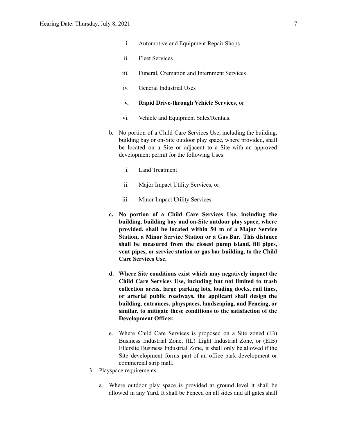- i. Automotive and Equipment Repair Shops
- ii. Fleet Services
- iii. Funeral, Cremation and Internment Services
- iv. General Industrial Uses

#### **v. Rapid Drive-through Vehicle Services**, or

- vi. Vehicle and Equipment Sales/Rentals.
- b. No portion of a Child Care Services Use, including the building, building bay or on-Site outdoor play space, where provided, shall be located on a Site or adjacent to a Site with an approved development permit for the following Uses:
	- i. Land Treatment
	- ii. Major Impact Utility Services, or
	- iii. Minor Impact Utility Services.
- **c. No portion of a Child Care Services Use, including the building, building bay and on-Site outdoor play space, where provided, shall be located within 50 m of a Major Service Station, a Minor Service Station or a Gas Bar. This distance shall be measured from the closest pump island, fill pipes, vent pipes, or service station or gas bar building, to the Child Care Services Use.**
- **d. Where Site conditions exist which may negatively impact the Child Care Services Use, including but not limited to trash collection areas, large parking lots, loading docks, rail lines, or arterial public roadways, the applicant shall design the building, entrances, playspaces, landscaping, and Fencing, or similar, to mitigate these conditions to the satisfaction of the Development Officer.**
- e. Where Child Care Services is proposed on a Site zoned (IB) Business Industrial Zone, (IL) Light Industrial Zone, or (EIB) Ellerslie Business Industrial Zone, it shall only be allowed if the Site development forms part of an office park development or commercial strip mall.
- 3. Playspace requirements
	- a. Where outdoor play space is provided at ground level it shall be allowed in any Yard. It shall be Fenced on all sides and all gates shall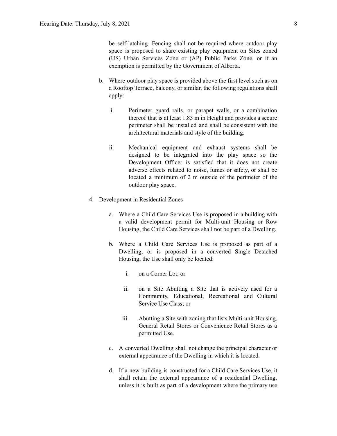be self-latching. Fencing shall not be required where outdoor play space is proposed to share existing play equipment on Sites zoned (US) Urban Services Zone or (AP) Public Parks Zone, or if an exemption is permitted by the Government of Alberta.

- b. Where outdoor play space is provided above the first level such as on a Rooftop Terrace, balcony, or similar, the following regulations shall apply:
	- i. Perimeter guard rails, or parapet walls, or a combination thereof that is at least 1.83 m in Height and provides a secure perimeter shall be installed and shall be consistent with the architectural materials and style of the building.
	- ii. Mechanical equipment and exhaust systems shall be designed to be integrated into the play space so the Development Officer is satisfied that it does not create adverse effects related to noise, fumes or safety, or shall be located a minimum of 2 m outside of the perimeter of the outdoor play space.
- 4. Development in Residential Zones
	- a. Where a Child Care Services Use is proposed in a building with a valid development permit for Multi-unit Housing or Row Housing, the Child Care Services shall not be part of a Dwelling.
	- b. Where a Child Care Services Use is proposed as part of a Dwelling, or is proposed in a converted Single Detached Housing, the Use shall only be located:
		- i. on a Corner Lot; or
		- ii. on a Site Abutting a Site that is actively used for a Community, Educational, Recreational and Cultural Service Use Class; or
		- iii. Abutting a Site with zoning that lists Multi-unit Housing, General Retail Stores or Convenience Retail Stores as a permitted Use.
	- c. A converted Dwelling shall not change the principal character or external appearance of the Dwelling in which it is located.
	- d. If a new building is constructed for a Child Care Services Use, it shall retain the external appearance of a residential Dwelling, unless it is built as part of a development where the primary use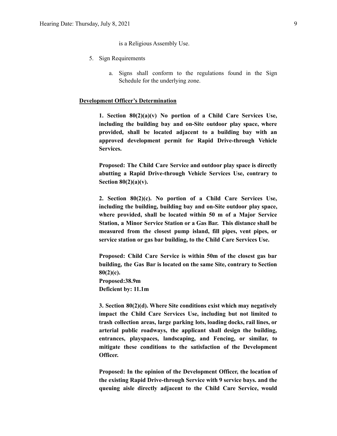is a Religious Assembly Use.

- 5. Sign Requirements
	- a. Signs shall conform to the regulations found in the Sign Schedule for the underlying zone.

#### **Development Officer's Determination**

**1. Section 80(2)(a)(v) No portion of a Child Care Services Use, including the building bay and on-Site outdoor play space, where provided, shall be located adjacent to a building bay with an approved development permit for Rapid Drive-through Vehicle Services.**

**Proposed: The Child Care Service and outdoor play space is directly abutting a Rapid Drive-through Vehicle Services Use, contrary to Section 80(2)(a)(v).**

**2. Section 80(2)(c). No portion of a Child Care Services Use, including the building, building bay and on-Site outdoor play space, where provided, shall be located within 50 m of a Major Service Station, a Minor Service Station or a Gas Bar. This distance shall be measured from the closest pump island, fill pipes, vent pipes, or service station or gas bar building, to the Child Care Services Use.**

**Proposed: Child Care Service is within 50m of the closest gas bar building, the Gas Bar is located on the same Site, contrary to Section 80(2)(c). Proposed:38.9m Deficient by: 11.1m**

**3. Section 80(2)(d). Where Site conditions exist which may negatively impact the Child Care Services Use, including but not limited to trash collection areas, large parking lots, loading docks, rail lines, or arterial public roadways, the applicant shall design the building, entrances, playspaces, landscaping, and Fencing, or similar, to mitigate these conditions to the satisfaction of the Development Officer.**

**Proposed: In the opinion of the Development Officer, the location of the existing Rapid Drive-through Service with 9 service bays. and the queuing aisle directly adjacent to the Child Care Service, would**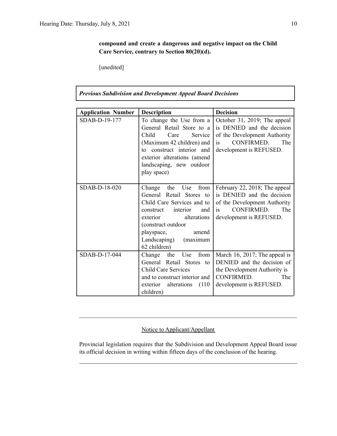**compound and create a dangerous and negative impact on the Child Care Service, contrary to Section 80(20)(d).**

[unedited]

*Previous Subdivision and Development Appeal Board Decisions*

| <b>Application Number</b> | <b>Description</b>                                                                                                                                                                                                                      | <b>Decision</b>                                                                                                                                   |
|---------------------------|-----------------------------------------------------------------------------------------------------------------------------------------------------------------------------------------------------------------------------------------|---------------------------------------------------------------------------------------------------------------------------------------------------|
| SDAB-D-19-177             | To change the Use from a<br>General Retail Store to a<br>Child.<br>Care<br><b>Service</b><br>(Maximum 42 children) and<br>to construct interior and<br>exterior alterations (amend<br>landscaping, new outdoor<br>play space)           | October 31, 2019; The appeal<br>is DENIED and the decision<br>of the Development Authority<br>CONFIRMED.<br>The<br>is<br>development is REFUSED.  |
| SDAB-D-18-020             | Change the<br>Use<br>from<br>General Retail Stores to<br>Child Care Services and to<br>interior<br>construct<br>and<br>alterations<br>exterior<br>(construct outdoor<br>playspace,<br>amend<br>Landscaping)<br>(maximum<br>62 children) | February 22, 2018; The appeal<br>is DENIED and the decision<br>of the Development Authority<br>CONFIRMED.<br>The<br>is<br>development is REFUSED. |
| SDAB-D-17-044             | the<br>from<br>Change<br>Use<br>General Retail Stores to<br><b>Child Care Services</b><br>and to construct interior and<br>alterations<br>(110)<br>exterior<br>children)                                                                | March 16, 2017; The appeal is<br>DENIED and the decision of<br>the Development Authority is<br>CONFIRMED.<br>The<br>development is REFUSED.       |

### Notice to Applicant/Appellant

Provincial legislation requires that the Subdivision and Development Appeal Board issue its official decision in writing within fifteen days of the conclusion of the hearing.

 $\mathcal{L}_\text{max} = \frac{1}{2} \sum_{i=1}^n \mathcal{L}_\text{max} = \frac{1}{2} \sum_{i=1}^n \mathcal{L}_\text{max} = \frac{1}{2} \sum_{i=1}^n \mathcal{L}_\text{max} = \frac{1}{2} \sum_{i=1}^n \mathcal{L}_\text{max} = \frac{1}{2} \sum_{i=1}^n \mathcal{L}_\text{max} = \frac{1}{2} \sum_{i=1}^n \mathcal{L}_\text{max} = \frac{1}{2} \sum_{i=1}^n \mathcal{L}_\text{max} = \frac{1}{2} \sum_{i=$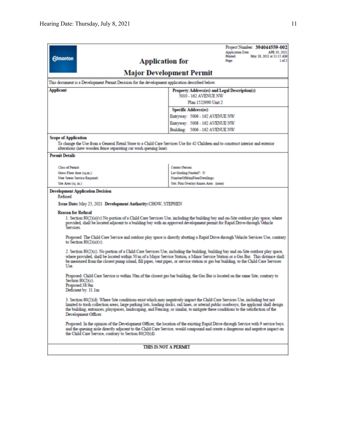|                                                                                                                                                                                                                                                                                                                                                                                                                                        |                                                                                                                                                                                                                                                                                                                                                                                                                  |                                                         | Project Number: 394044559-002<br>Application Date:<br>APR 30, 2021 |  |  |  |
|----------------------------------------------------------------------------------------------------------------------------------------------------------------------------------------------------------------------------------------------------------------------------------------------------------------------------------------------------------------------------------------------------------------------------------------|------------------------------------------------------------------------------------------------------------------------------------------------------------------------------------------------------------------------------------------------------------------------------------------------------------------------------------------------------------------------------------------------------------------|---------------------------------------------------------|--------------------------------------------------------------------|--|--|--|
| <b>Edmonton</b>                                                                                                                                                                                                                                                                                                                                                                                                                        | <b>Application for</b>                                                                                                                                                                                                                                                                                                                                                                                           | Printed:<br>May 28, 2021 at 11:15 AM<br>1 of 2<br>Page: |                                                                    |  |  |  |
| <b>Major Development Permit</b>                                                                                                                                                                                                                                                                                                                                                                                                        |                                                                                                                                                                                                                                                                                                                                                                                                                  |                                                         |                                                                    |  |  |  |
|                                                                                                                                                                                                                                                                                                                                                                                                                                        | This document is a Development Permit Decision for the development application described below.                                                                                                                                                                                                                                                                                                                  |                                                         |                                                                    |  |  |  |
| <b>Applicant</b>                                                                                                                                                                                                                                                                                                                                                                                                                       | Property Address(es) and Legal Description(s)                                                                                                                                                                                                                                                                                                                                                                    |                                                         |                                                                    |  |  |  |
|                                                                                                                                                                                                                                                                                                                                                                                                                                        | 5010 - 162 AVENUE NW<br>Plan 1523990 Unit 2                                                                                                                                                                                                                                                                                                                                                                      |                                                         |                                                                    |  |  |  |
|                                                                                                                                                                                                                                                                                                                                                                                                                                        | Specific Address(es)                                                                                                                                                                                                                                                                                                                                                                                             |                                                         |                                                                    |  |  |  |
|                                                                                                                                                                                                                                                                                                                                                                                                                                        | Entryway: 5006 - 162 AVENUE NW                                                                                                                                                                                                                                                                                                                                                                                   |                                                         |                                                                    |  |  |  |
|                                                                                                                                                                                                                                                                                                                                                                                                                                        |                                                                                                                                                                                                                                                                                                                                                                                                                  | Entryway: 5008 - 162 AVENUE NW                          |                                                                    |  |  |  |
|                                                                                                                                                                                                                                                                                                                                                                                                                                        |                                                                                                                                                                                                                                                                                                                                                                                                                  | Building: 5006 - 162 AVENUE NW                          |                                                                    |  |  |  |
| <b>Scope of Application</b>                                                                                                                                                                                                                                                                                                                                                                                                            |                                                                                                                                                                                                                                                                                                                                                                                                                  |                                                         |                                                                    |  |  |  |
|                                                                                                                                                                                                                                                                                                                                                                                                                                        | To change the Use from a General Retail Store to a Child Care Services Use for 42 Children and to construct interior and exterior<br>alterations (new wooden fence separating car wash queuing lane).                                                                                                                                                                                                            |                                                         |                                                                    |  |  |  |
| <b>Permit Details</b>                                                                                                                                                                                                                                                                                                                                                                                                                  |                                                                                                                                                                                                                                                                                                                                                                                                                  |                                                         |                                                                    |  |  |  |
| <b>Class of Permit</b>                                                                                                                                                                                                                                                                                                                                                                                                                 |                                                                                                                                                                                                                                                                                                                                                                                                                  | Contact Person:                                         |                                                                    |  |  |  |
| Gross Floor Area (sq.m.):                                                                                                                                                                                                                                                                                                                                                                                                              |                                                                                                                                                                                                                                                                                                                                                                                                                  | Lot Grading Needed?: N                                  |                                                                    |  |  |  |
| New Sewer Service Required:                                                                                                                                                                                                                                                                                                                                                                                                            |                                                                                                                                                                                                                                                                                                                                                                                                                  | NumberOfMainFloorDwellings:                             |                                                                    |  |  |  |
| Site Area (sq. m.):                                                                                                                                                                                                                                                                                                                                                                                                                    |                                                                                                                                                                                                                                                                                                                                                                                                                  | Stat. Plan Overlay/Annex Area: (none)                   |                                                                    |  |  |  |
| Refused                                                                                                                                                                                                                                                                                                                                                                                                                                | <b>Development Application Decision</b>                                                                                                                                                                                                                                                                                                                                                                          |                                                         |                                                                    |  |  |  |
|                                                                                                                                                                                                                                                                                                                                                                                                                                        | Issue Date: May 25, 2021 Development Authority: CHOW, STEPHEN                                                                                                                                                                                                                                                                                                                                                    |                                                         |                                                                    |  |  |  |
| <b>Reason for Refusal</b>                                                                                                                                                                                                                                                                                                                                                                                                              |                                                                                                                                                                                                                                                                                                                                                                                                                  |                                                         |                                                                    |  |  |  |
| Services.                                                                                                                                                                                                                                                                                                                                                                                                                              | 1. Section 80(2)(a)(v) No portion of a Child Care Services Use, including the building bay and on-Site outdoor play space, where<br>provided, shall be located adjacent to a building bay with an approved development permit for Rapid Drive-through Vehicle                                                                                                                                                    |                                                         |                                                                    |  |  |  |
|                                                                                                                                                                                                                                                                                                                                                                                                                                        | Proposed: The Child Care Service and outdoor play space is directly abutting a Rapid Drive-through Vehicle Services Use, contrary<br>to Section $80(2)(a)(v)$ .                                                                                                                                                                                                                                                  |                                                         |                                                                    |  |  |  |
| Use.                                                                                                                                                                                                                                                                                                                                                                                                                                   | 2. Section 80(2)(c). No portion of a Child Care Services Use, including the building, building bay and on-Site outdoor play space,<br>where provided, shall be located within 50 m of a Major Service Station, a Minor Service Station or a Gas Bar. This distance shall<br>be measured from the closest pump island, fill pipes, vent pipes, or service station or gas bar building, to the Child Care Services |                                                         |                                                                    |  |  |  |
| Proposed: Child Care Service is within 50m of the closest gas bar building, the Gas Bar is located on the same Site, contrary to<br>Section 80(2)(c).<br>Proposed:38.9m<br>Deficient by: 11.1m                                                                                                                                                                                                                                         |                                                                                                                                                                                                                                                                                                                                                                                                                  |                                                         |                                                                    |  |  |  |
| 3. Section 80(2)(d). Where Site conditions exist which may negatively impact the Child Care Services Use, including but not<br>limited to trash collection areas, large parking lots, loading docks, rail lines, or arterial public roadways, the applicant shall design<br>the building, entrances, playspaces, landscaping, and Fencing, or similar, to mitigate these conditions to the satisfaction of the<br>Development Officer. |                                                                                                                                                                                                                                                                                                                                                                                                                  |                                                         |                                                                    |  |  |  |
| Proposed: In the opinion of the Development Officer, the location of the existing Rapid Drive-through Service with 9 service bays.<br>and the queuing aisle directly adjacent to the Child Care Service, would compound and create a dangerous and negative impact on<br>the Child Care Service, contrary to Section 80(20)(d).                                                                                                        |                                                                                                                                                                                                                                                                                                                                                                                                                  |                                                         |                                                                    |  |  |  |
|                                                                                                                                                                                                                                                                                                                                                                                                                                        | <b>THIS IS NOT A PERMIT</b>                                                                                                                                                                                                                                                                                                                                                                                      |                                                         |                                                                    |  |  |  |
|                                                                                                                                                                                                                                                                                                                                                                                                                                        |                                                                                                                                                                                                                                                                                                                                                                                                                  |                                                         |                                                                    |  |  |  |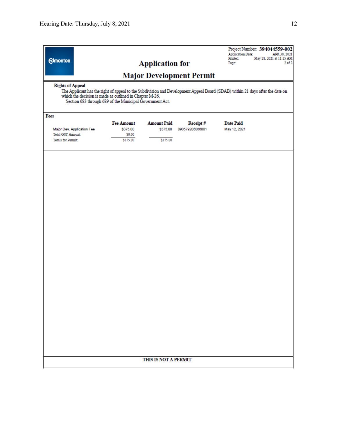| <b>Edmonton</b>                                                                                                     |                                 | <b>Application for</b> |                 | Project Number: 394044559-002<br><b>Application Date:</b><br>APR 30, 2021<br>Printed:<br>May 28, 2021 at 11:15 AM<br>Page:<br>2 <sub>0</sub> f <sub>2</sub> |  |
|---------------------------------------------------------------------------------------------------------------------|---------------------------------|------------------------|-----------------|-------------------------------------------------------------------------------------------------------------------------------------------------------------|--|
| <b>Rights of Appeal</b>                                                                                             | <b>Major Development Permit</b> |                        |                 |                                                                                                                                                             |  |
| which the decision is made as outlined in Chapter M-26,<br>Section 683 through 689 of the Municipal Government Act. |                                 |                        |                 | The Applicant has the right of appeal to the Subdivision and Development Appeal Board (SDAB) within 21 days after the date on                               |  |
| Fees                                                                                                                |                                 |                        |                 |                                                                                                                                                             |  |
|                                                                                                                     | <b>Fee Amount</b>               | <b>Amount Paid</b>     | Receipt#        | <b>Date Paid</b>                                                                                                                                            |  |
| Major Dev. Application Fee<br><b>Total GST Amount:</b>                                                              | \$375.00<br>\$0.00              | \$375.00               | 098579206066001 | May 12, 2021                                                                                                                                                |  |
| <b>Totals for Permit:</b>                                                                                           | \$375.00                        | \$375.00               |                 |                                                                                                                                                             |  |
|                                                                                                                     |                                 |                        |                 |                                                                                                                                                             |  |
|                                                                                                                     |                                 |                        |                 |                                                                                                                                                             |  |
|                                                                                                                     |                                 |                        |                 |                                                                                                                                                             |  |
|                                                                                                                     |                                 |                        |                 |                                                                                                                                                             |  |
|                                                                                                                     |                                 |                        |                 |                                                                                                                                                             |  |
|                                                                                                                     |                                 |                        |                 |                                                                                                                                                             |  |
|                                                                                                                     |                                 |                        |                 |                                                                                                                                                             |  |
|                                                                                                                     |                                 |                        |                 |                                                                                                                                                             |  |
|                                                                                                                     |                                 |                        |                 |                                                                                                                                                             |  |
|                                                                                                                     |                                 |                        |                 |                                                                                                                                                             |  |
|                                                                                                                     |                                 |                        |                 |                                                                                                                                                             |  |
|                                                                                                                     |                                 |                        |                 |                                                                                                                                                             |  |
|                                                                                                                     |                                 |                        |                 |                                                                                                                                                             |  |
|                                                                                                                     |                                 |                        |                 |                                                                                                                                                             |  |
|                                                                                                                     |                                 |                        |                 |                                                                                                                                                             |  |
|                                                                                                                     |                                 |                        |                 |                                                                                                                                                             |  |
|                                                                                                                     |                                 |                        |                 |                                                                                                                                                             |  |
|                                                                                                                     |                                 |                        |                 |                                                                                                                                                             |  |
| THIS IS NOT A PERMIT                                                                                                |                                 |                        |                 |                                                                                                                                                             |  |
|                                                                                                                     |                                 |                        |                 |                                                                                                                                                             |  |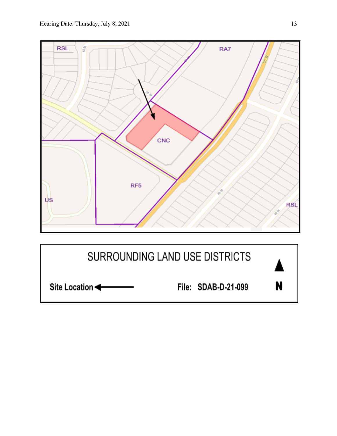

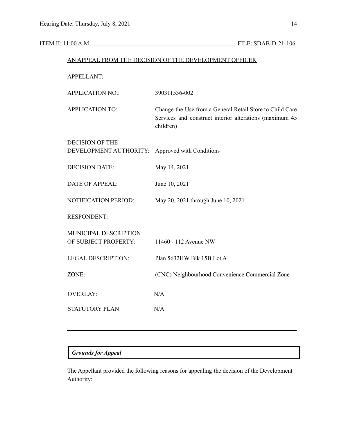## ITEM II: 11:00 A.M. FILE: SDAB-D-21-106

| AN APPEAL FROM THE DECISION OF THE DEVELOPMENT OFFICER |                                                                                                                                  |  |  |
|--------------------------------------------------------|----------------------------------------------------------------------------------------------------------------------------------|--|--|
| <b>APPELLANT:</b>                                      |                                                                                                                                  |  |  |
| <b>APPLICATION NO.:</b>                                | 390311536-002                                                                                                                    |  |  |
| <b>APPLICATION TO:</b>                                 | Change the Use from a General Retail Store to Child Care<br>Services and construct interior alterations (maximum 45<br>children) |  |  |
| <b>DECISION OF THE</b><br>DEVELOPMENT AUTHORITY:       | Approved with Conditions                                                                                                         |  |  |
| <b>DECISION DATE:</b>                                  | May 14, 2021                                                                                                                     |  |  |
| <b>DATE OF APPEAL:</b>                                 | June 10, 2021                                                                                                                    |  |  |
| <b>NOTIFICATION PERIOD:</b>                            | May 20, 2021 through June 10, 2021                                                                                               |  |  |
| <b>RESPONDENT:</b>                                     |                                                                                                                                  |  |  |
| MUNICIPAL DESCRIPTION<br>OF SUBJECT PROPERTY:          | 11460 - 112 Avenue NW                                                                                                            |  |  |
| <b>LEGAL DESCRIPTION:</b>                              | Plan 5632HW Blk 15B Lot A                                                                                                        |  |  |
| ZONE:                                                  | (CNC) Neighbourhood Convenience Commercial Zone                                                                                  |  |  |
| <b>OVERLAY:</b>                                        | N/A                                                                                                                              |  |  |
| <b>STATUTORY PLAN:</b>                                 | N/A                                                                                                                              |  |  |
|                                                        |                                                                                                                                  |  |  |

## *Grounds for Appeal*

The Appellant provided the following reasons for appealing the decision of the Development Authority: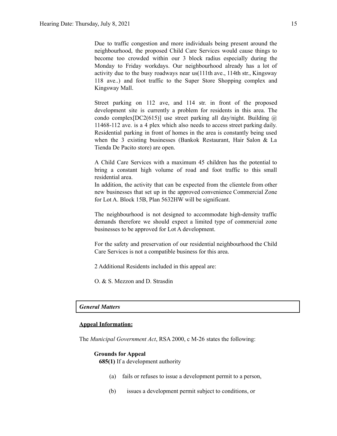Due to traffic congestion and more individuals being present around the neighbourhood, the proposed Child Care Services would cause things to become too crowded within our 3 block radius especially during the Monday to Friday workdays. Our neighbourhood already has a lot of activity due to the busy roadways near us(111th ave., 114th str., Kingsway 118 ave..) and foot traffic to the Super Store Shopping complex and Kingsway Mall.

Street parking on 112 ave, and 114 str. in front of the proposed development site is currently a problem for residents in this area. The condo complex[DC2(615)] use street parking all day/night. Building  $\omega$ 11468-112 ave. is a 4 plex which also needs to access street parking daily. Residential parking in front of homes in the area is constantly being used when the 3 existing businesses (Bankok Restaurant, Hair Salon & La Tienda De Pacito store) are open.

A Child Care Services with a maximum 45 children has the potential to bring a constant high volume of road and foot traffic to this small residential area.

In addition, the activity that can be expected from the clientele from other new businesses that set up in the approved convenience Commercial Zone for Lot A. Block 15B, Plan 5632HW will be significant.

The neighbourhood is not designed to accommodate high-density traffic demands therefore we should expect a limited type of commercial zone businesses to be approved for Lot A development.

For the safety and preservation of our residential neighbourhood the Child Care Services is not a compatible business for this area.

2 Additional Residents included in this appeal are:

O. & S. Mezzon and D. Strasdin

#### *General Matters*

#### **Appeal Information:**

The *Municipal Government Act*, RSA 2000, c M-26 states the following:

#### **Grounds for Appeal**

**685(1)** If a development authority

- (a) fails or refuses to issue a development permit to a person,
- (b) issues a development permit subject to conditions, or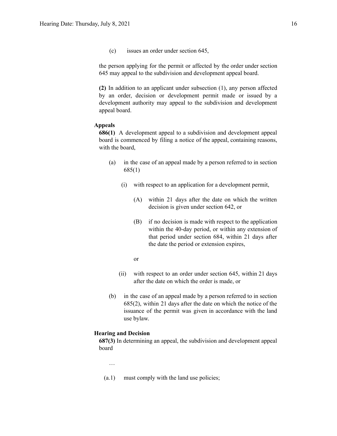(c) issues an order under section 645,

the person applying for the permit or affected by the order under section 645 may appeal to the subdivision and development appeal board.

**(2)** In addition to an applicant under subsection (1), any person affected by an order, decision or development permit made or issued by a development authority may appeal to the subdivision and development appeal board.

#### **Appeals**

**686(1)** A development appeal to a subdivision and development appeal board is commenced by filing a notice of the appeal, containing reasons, with the board,

- (a) in the case of an appeal made by a person referred to in section 685(1)
	- (i) with respect to an application for a development permit,
		- (A) within 21 days after the date on which the written decision is given under section 642, or
		- (B) if no decision is made with respect to the application within the 40-day period, or within any extension of that period under section 684, within 21 days after the date the period or extension expires,
		- or
	- (ii) with respect to an order under section 645, within 21 days after the date on which the order is made, or
- (b) in the case of an appeal made by a person referred to in section 685(2), within 21 days after the date on which the notice of the issuance of the permit was given in accordance with the land use bylaw.

#### **Hearing and Decision**

**687(3)** In determining an appeal, the subdivision and development appeal board

…

(a.1) must comply with the land use policies;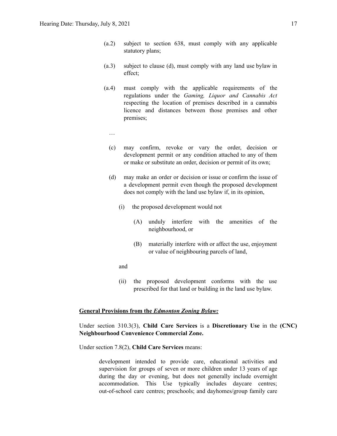- (a.2) subject to section 638, must comply with any applicable statutory plans;
- (a.3) subject to clause (d), must comply with any land use bylaw in effect;
- (a.4) must comply with the applicable requirements of the regulations under the *Gaming, Liquor and Cannabis Act* respecting the location of premises described in a cannabis licence and distances between those premises and other premises;
	- …
	- (c) may confirm, revoke or vary the order, decision or development permit or any condition attached to any of them or make or substitute an order, decision or permit of its own;
	- (d) may make an order or decision or issue or confirm the issue of a development permit even though the proposed development does not comply with the land use bylaw if, in its opinion,
		- (i) the proposed development would not
			- (A) unduly interfere with the amenities of the neighbourhood, or
			- (B) materially interfere with or affect the use, enjoyment or value of neighbouring parcels of land,
		- and
		- (ii) the proposed development conforms with the use prescribed for that land or building in the land use bylaw.

#### **General Provisions from the** *Edmonton Zoning Bylaw:*

Under section 310.3(3), **Child Care Services** is a **Discretionary Use** in the **(CNC) Neighbourhood Convenience Commercial Zone.**

Under section 7.8(2), **Child Care Services** means:

development intended to provide care, educational activities and supervision for groups of seven or more children under 13 years of age during the day or evening, but does not generally include overnight accommodation. This Use typically includes daycare centres; out-of-school care centres; preschools; and dayhomes/group family care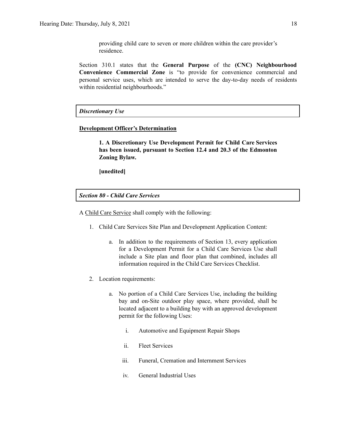providing child care to seven or more children within the care provider's residence.

Section 310.1 states that the **General Purpose** of the **(CNC) Neighbourhood Convenience Commercial Zone** is "to provide for convenience commercial and personal service uses, which are intended to serve the day-to-day needs of residents within residential neighbourhoods."

#### *Discretionary Use*

#### **Development Officer's Determination**

**1. A Discretionary Use Development Permit for Child Care Services has been issued, pursuant to Section 12.4 and 20.3 of the Edmonton Zoning Bylaw.**

**[unedited]**

*Section 80 - Child Care Services*

A Child Care Service shall comply with the following:

- 1. Child Care Services Site Plan and Development Application Content:
	- a. In addition to the requirements of Section 13, every application for a Development Permit for a Child Care Services Use shall include a Site plan and floor plan that combined, includes all information required in the Child Care Services Checklist.
- 2. Location requirements:
	- a. No portion of a Child Care Services Use, including the building bay and on-Site outdoor play space, where provided, shall be located adjacent to a building bay with an approved development permit for the following Uses:
		- i. Automotive and Equipment Repair Shops
		- ii. Fleet Services
		- iii. Funeral, Cremation and Internment Services
		- iv. General Industrial Uses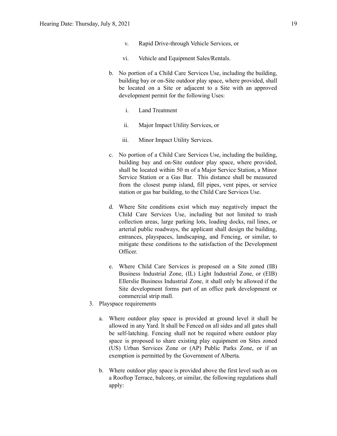- v. Rapid Drive-through Vehicle Services, or
- vi. Vehicle and Equipment Sales/Rentals.
- b. No portion of a Child Care Services Use, including the building, building bay or on-Site outdoor play space, where provided, shall be located on a Site or adjacent to a Site with an approved development permit for the following Uses:
	- i. Land Treatment
	- ii. Major Impact Utility Services, or
	- iii. Minor Impact Utility Services.
- c. No portion of a Child Care Services Use, including the building, building bay and on-Site outdoor play space, where provided, shall be located within 50 m of a Major Service Station, a Minor Service Station or a Gas Bar. This distance shall be measured from the closest pump island, fill pipes, vent pipes, or service station or gas bar building, to the Child Care Services Use.
- d. Where Site conditions exist which may negatively impact the Child Care Services Use, including but not limited to trash collection areas, large parking lots, loading docks, rail lines, or arterial public roadways, the applicant shall design the building, entrances, playspaces, landscaping, and Fencing, or similar, to mitigate these conditions to the satisfaction of the Development Officer.
- e. Where Child Care Services is proposed on a Site zoned (IB) Business Industrial Zone, (IL) Light Industrial Zone, or (EIB) Ellerslie Business Industrial Zone, it shall only be allowed if the Site development forms part of an office park development or commercial strip mall.
- 3. Playspace requirements
	- a. Where outdoor play space is provided at ground level it shall be allowed in any Yard. It shall be Fenced on all sides and all gates shall be self-latching. Fencing shall not be required where outdoor play space is proposed to share existing play equipment on Sites zoned (US) Urban Services Zone or (AP) Public Parks Zone, or if an exemption is permitted by the Government of Alberta.
	- b. Where outdoor play space is provided above the first level such as on a Rooftop Terrace, balcony, or similar, the following regulations shall apply: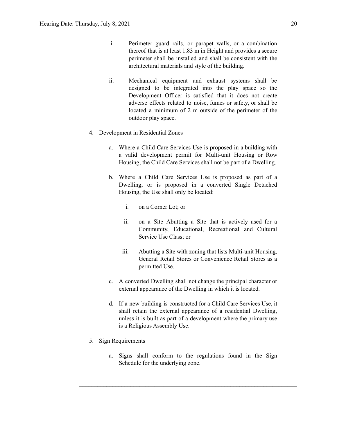- i. Perimeter guard rails, or parapet walls, or a combination thereof that is at least 1.83 m in Height and provides a secure perimeter shall be installed and shall be consistent with the architectural materials and style of the building.
- ii. Mechanical equipment and exhaust systems shall be designed to be integrated into the play space so the Development Officer is satisfied that it does not create adverse effects related to noise, fumes or safety, or shall be located a minimum of 2 m outside of the perimeter of the outdoor play space.
- 4. Development in Residential Zones
	- a. Where a Child Care Services Use is proposed in a building with a valid development permit for Multi-unit Housing or Row Housing, the Child Care Services shall not be part of a Dwelling.
	- b. Where a Child Care Services Use is proposed as part of a Dwelling, or is proposed in a converted Single Detached Housing, the Use shall only be located:
		- i. on a Corner Lot; or
		- ii. on a Site Abutting a Site that is actively used for a Community, Educational, Recreational and Cultural Service Use Class; or
		- iii. Abutting a Site with zoning that lists Multi-unit Housing, General Retail Stores or Convenience Retail Stores as a permitted Use.
	- c. A converted Dwelling shall not change the principal character or external appearance of the Dwelling in which it is located.
	- d. If a new building is constructed for a Child Care Services Use, it shall retain the external appearance of a residential Dwelling, unless it is built as part of a development where the primary use is a Religious Assembly Use.
- 5. Sign Requirements
	- a. Signs shall conform to the regulations found in the Sign Schedule for the underlying zone.

 $\mathcal{L}_\text{max} = \frac{1}{2} \sum_{i=1}^n \mathcal{L}_\text{max} = \frac{1}{2} \sum_{i=1}^n \mathcal{L}_\text{max} = \frac{1}{2} \sum_{i=1}^n \mathcal{L}_\text{max} = \frac{1}{2} \sum_{i=1}^n \mathcal{L}_\text{max} = \frac{1}{2} \sum_{i=1}^n \mathcal{L}_\text{max} = \frac{1}{2} \sum_{i=1}^n \mathcal{L}_\text{max} = \frac{1}{2} \sum_{i=1}^n \mathcal{L}_\text{max} = \frac{1}{2} \sum_{i=$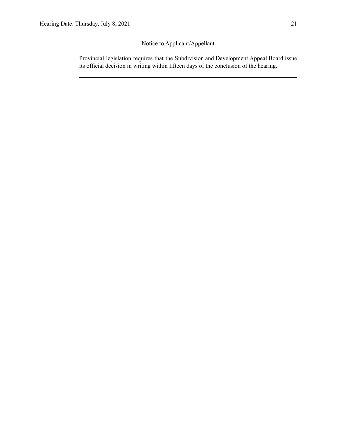## Notice to Applicant/Appellant

Provincial legislation requires that the Subdivision and Development Appeal Board issue its official decision in writing within fifteen days of the conclusion of the hearing.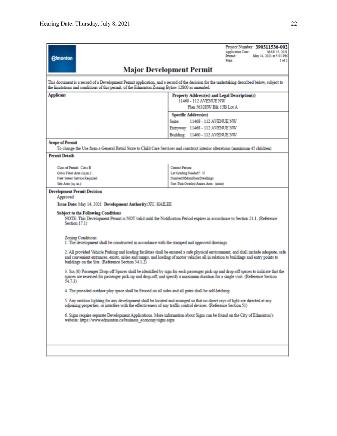|                                                                                                                                                                                                                                                                                                                                  | Project Number: 390311536-002<br><b>Application Date:</b><br>MAR 25, 2021<br>Printed:<br>May 14, 2021 at 5:01 PM |  |  |  |  |  |
|----------------------------------------------------------------------------------------------------------------------------------------------------------------------------------------------------------------------------------------------------------------------------------------------------------------------------------|------------------------------------------------------------------------------------------------------------------|--|--|--|--|--|
| <b>Edmonton</b>                                                                                                                                                                                                                                                                                                                  | Page:<br>1 <sub>of</sub> 2                                                                                       |  |  |  |  |  |
| <b>Major Development Permit</b>                                                                                                                                                                                                                                                                                                  |                                                                                                                  |  |  |  |  |  |
| This document is a record of a Development Permit application, and a record of the decision for the undertaking described below, subject to<br>the limitations and conditions of this permit, of the Edmonton Zoning Bylaw 12800 as amended.                                                                                     |                                                                                                                  |  |  |  |  |  |
| <b>Applicant</b>                                                                                                                                                                                                                                                                                                                 | Property Address(es) and Legal Description(s)<br>11460 - 112 AVENUE NW                                           |  |  |  |  |  |
|                                                                                                                                                                                                                                                                                                                                  | Plan 5632HW Blk 15B Lot A                                                                                        |  |  |  |  |  |
|                                                                                                                                                                                                                                                                                                                                  | Specific Address(es)                                                                                             |  |  |  |  |  |
|                                                                                                                                                                                                                                                                                                                                  | 11468 - 112 AVENUE NW<br>Sunte:                                                                                  |  |  |  |  |  |
|                                                                                                                                                                                                                                                                                                                                  | Entryway: 11468 - 112 AVENUE NW                                                                                  |  |  |  |  |  |
|                                                                                                                                                                                                                                                                                                                                  | Building: 11460 - 112 AVENUE NW                                                                                  |  |  |  |  |  |
| <b>Scope of Permit</b><br>To change the Use from a General Retail Store to Child Care Services and construct interior alterations (maximum 45 children).                                                                                                                                                                         |                                                                                                                  |  |  |  |  |  |
| <b>Permit Details</b>                                                                                                                                                                                                                                                                                                            |                                                                                                                  |  |  |  |  |  |
|                                                                                                                                                                                                                                                                                                                                  |                                                                                                                  |  |  |  |  |  |
| Class of Permit: Class B                                                                                                                                                                                                                                                                                                         | Contact Person:                                                                                                  |  |  |  |  |  |
| Gross Floor Area (sq.m.):                                                                                                                                                                                                                                                                                                        | Lot Grading Needed?: N                                                                                           |  |  |  |  |  |
| New Sewer Service Required:<br>Site Area (sq. m.):                                                                                                                                                                                                                                                                               | NumberOfMainFloorDwellings:<br>Stat. Plan Overlay/Annex Area: (none)                                             |  |  |  |  |  |
|                                                                                                                                                                                                                                                                                                                                  |                                                                                                                  |  |  |  |  |  |
| <b>Development Permit Decision</b><br>Approved                                                                                                                                                                                                                                                                                   |                                                                                                                  |  |  |  |  |  |
| Issue Date: May 14, 2021 Development Authority: XU, HAILEE                                                                                                                                                                                                                                                                       |                                                                                                                  |  |  |  |  |  |
| <b>Subject to the Following Conditions</b><br>NOTE: This Development Permit is NOT valid until the Notification Period expires in accordance to Section 21.1. (Reference<br>Section 17.1)                                                                                                                                        |                                                                                                                  |  |  |  |  |  |
| Zoning Conditions:<br>1. The development shall be constructed in accordance with the stamped and approved drawings.                                                                                                                                                                                                              |                                                                                                                  |  |  |  |  |  |
| 2. All provided Vehicle Parking and loading facilities shall be ensured a safe physical environment, and shall include adequate, safe<br>and convenient entrances, exists, aisles and ramps, and loading of motor vehicles all in relation to buildings and entry points to<br>buildings on the Site. (Reference Section 54.1.2) |                                                                                                                  |  |  |  |  |  |
| 3. Six (6) Passenger Drop-off Spaces shall be identified by sign for each passenger pick-up and drop-off spaces to indicate that the<br>spaces are reserved for passenger pick-up and drop-off, and specify a maximum duration for a single visit. (Reference Section<br>54.7.3)                                                 |                                                                                                                  |  |  |  |  |  |
| 4. The provided outdoor play space shall be Fenced on all sides and all gates shall be self-latching.                                                                                                                                                                                                                            |                                                                                                                  |  |  |  |  |  |
| 5. Any outdoor lighting for any development shall be located and arranged so that no direct rays of light are directed at any<br>adjoining properties, or interfere with the effectiveness of any traffic control devices. (Reference Section 51)                                                                                |                                                                                                                  |  |  |  |  |  |
| 6. Signs require separate Development Applications. More information about Signs can be found on the City of Edmonton's<br>website: https://www.edmonton.ca/business_economy/signs.aspx                                                                                                                                          |                                                                                                                  |  |  |  |  |  |
|                                                                                                                                                                                                                                                                                                                                  |                                                                                                                  |  |  |  |  |  |
|                                                                                                                                                                                                                                                                                                                                  |                                                                                                                  |  |  |  |  |  |
|                                                                                                                                                                                                                                                                                                                                  |                                                                                                                  |  |  |  |  |  |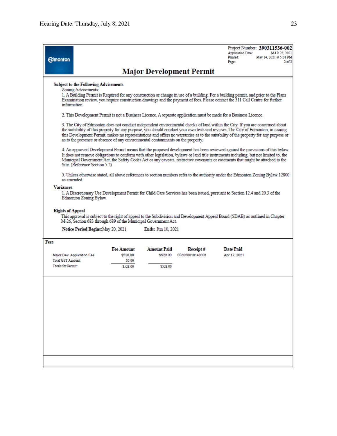| <b>Edmonton</b>                                                                                                                                                                                                                                                                                                                                           |                                                                                                                                                                                                                                                                                                                                                                                                                                            |                                                                                  |                                            |                                 | Project Number: 390311536-002<br><b>Application Date:</b><br>MAR 25, 2021<br>Printed:<br>May 14, 2021 at 5:01 PM<br>2 <sub>0</sub> f2<br>Page:                                                                                                                                                                                                                                                            |  |  |  |
|-----------------------------------------------------------------------------------------------------------------------------------------------------------------------------------------------------------------------------------------------------------------------------------------------------------------------------------------------------------|--------------------------------------------------------------------------------------------------------------------------------------------------------------------------------------------------------------------------------------------------------------------------------------------------------------------------------------------------------------------------------------------------------------------------------------------|----------------------------------------------------------------------------------|--------------------------------------------|---------------------------------|-----------------------------------------------------------------------------------------------------------------------------------------------------------------------------------------------------------------------------------------------------------------------------------------------------------------------------------------------------------------------------------------------------------|--|--|--|
|                                                                                                                                                                                                                                                                                                                                                           |                                                                                                                                                                                                                                                                                                                                                                                                                                            |                                                                                  |                                            | <b>Major Development Permit</b> |                                                                                                                                                                                                                                                                                                                                                                                                           |  |  |  |
| <b>Subject to the Following Advisements</b><br>Zoning Advisements:<br>1. A Building Permit is Required for any construction or change in use of a building. For a building permit, and prior to the Plans<br>Examination review, you require construction drawings and the payment of fees. Please contact the 311 Call Centre for further<br>information |                                                                                                                                                                                                                                                                                                                                                                                                                                            |                                                                                  |                                            |                                 |                                                                                                                                                                                                                                                                                                                                                                                                           |  |  |  |
|                                                                                                                                                                                                                                                                                                                                                           |                                                                                                                                                                                                                                                                                                                                                                                                                                            |                                                                                  |                                            |                                 | 2. This Development Permit is not a Business Licence. A separate application must be made for a Business Licence.                                                                                                                                                                                                                                                                                         |  |  |  |
|                                                                                                                                                                                                                                                                                                                                                           |                                                                                                                                                                                                                                                                                                                                                                                                                                            | as to the presence or absence of any environmental contaminants on the property. |                                            |                                 | 3. The City of Edmonton does not conduct independent environmental checks of land within the City. If you are concerned about<br>the suitability of this property for any purpose, you should conduct your own tests and reviews. The City of Edmonton, in issuing<br>this Development Permit, makes no representations and offers no warranties as to the suitability of the property for any purpose or |  |  |  |
|                                                                                                                                                                                                                                                                                                                                                           | 4. An approved Development Permit means that the proposed development has been reviewed against the provisions of this bylaw.<br>It does not remove obligations to conform with other legislation, bylaws or land title instruments including, but not limited to, the<br>Municipal Government Act, the Safety Codes Act or any caveats, restrictive covenants or easements that might be attached to the<br>Site. (Reference Section 5.2) |                                                                                  |                                            |                                 |                                                                                                                                                                                                                                                                                                                                                                                                           |  |  |  |
| as amended                                                                                                                                                                                                                                                                                                                                                |                                                                                                                                                                                                                                                                                                                                                                                                                                            |                                                                                  |                                            |                                 | 5. Unless otherwise stated, all above references to section numbers refer to the authority under the Edmonton Zoning Bylaw 12800                                                                                                                                                                                                                                                                          |  |  |  |
| <b>Variances</b>                                                                                                                                                                                                                                                                                                                                          | 1. A Discretionary Use Development Permit for Child Care Services has been issued, pursuant to Section 12.4 and 20.3 of the<br>Edmonton Zoning Bylaw.                                                                                                                                                                                                                                                                                      |                                                                                  |                                            |                                 |                                                                                                                                                                                                                                                                                                                                                                                                           |  |  |  |
| <b>Rights of Appeal</b>                                                                                                                                                                                                                                                                                                                                   |                                                                                                                                                                                                                                                                                                                                                                                                                                            | M-26, Section 683 through 689 of the Municipal Government Act.                   |                                            |                                 | This approval is subject to the right of appeal to the Subdivision and Development Appeal Board (SDAB) as outlined in Chapter                                                                                                                                                                                                                                                                             |  |  |  |
|                                                                                                                                                                                                                                                                                                                                                           | Notice Period Begins: May 20, 2021                                                                                                                                                                                                                                                                                                                                                                                                         |                                                                                  | <b>Ends:</b> Jun 10, 2021                  |                                 |                                                                                                                                                                                                                                                                                                                                                                                                           |  |  |  |
| Fees<br>Major Dev. Application Fee<br><b>Total GST Amount:</b><br><b>Totals for Permit:</b>                                                                                                                                                                                                                                                               |                                                                                                                                                                                                                                                                                                                                                                                                                                            | <b>Fee Amount</b><br>\$528.00<br>\$0.00<br>\$528.00                              | <b>Amount Paid</b><br>\$528.00<br>\$528.00 | Receipt#<br>086858010148001     | <b>Date Paid</b><br>Apr 17, 2021                                                                                                                                                                                                                                                                                                                                                                          |  |  |  |
|                                                                                                                                                                                                                                                                                                                                                           |                                                                                                                                                                                                                                                                                                                                                                                                                                            |                                                                                  |                                            |                                 |                                                                                                                                                                                                                                                                                                                                                                                                           |  |  |  |
|                                                                                                                                                                                                                                                                                                                                                           |                                                                                                                                                                                                                                                                                                                                                                                                                                            |                                                                                  |                                            |                                 |                                                                                                                                                                                                                                                                                                                                                                                                           |  |  |  |
|                                                                                                                                                                                                                                                                                                                                                           |                                                                                                                                                                                                                                                                                                                                                                                                                                            |                                                                                  |                                            |                                 |                                                                                                                                                                                                                                                                                                                                                                                                           |  |  |  |
|                                                                                                                                                                                                                                                                                                                                                           |                                                                                                                                                                                                                                                                                                                                                                                                                                            |                                                                                  |                                            |                                 |                                                                                                                                                                                                                                                                                                                                                                                                           |  |  |  |
|                                                                                                                                                                                                                                                                                                                                                           |                                                                                                                                                                                                                                                                                                                                                                                                                                            |                                                                                  |                                            |                                 |                                                                                                                                                                                                                                                                                                                                                                                                           |  |  |  |